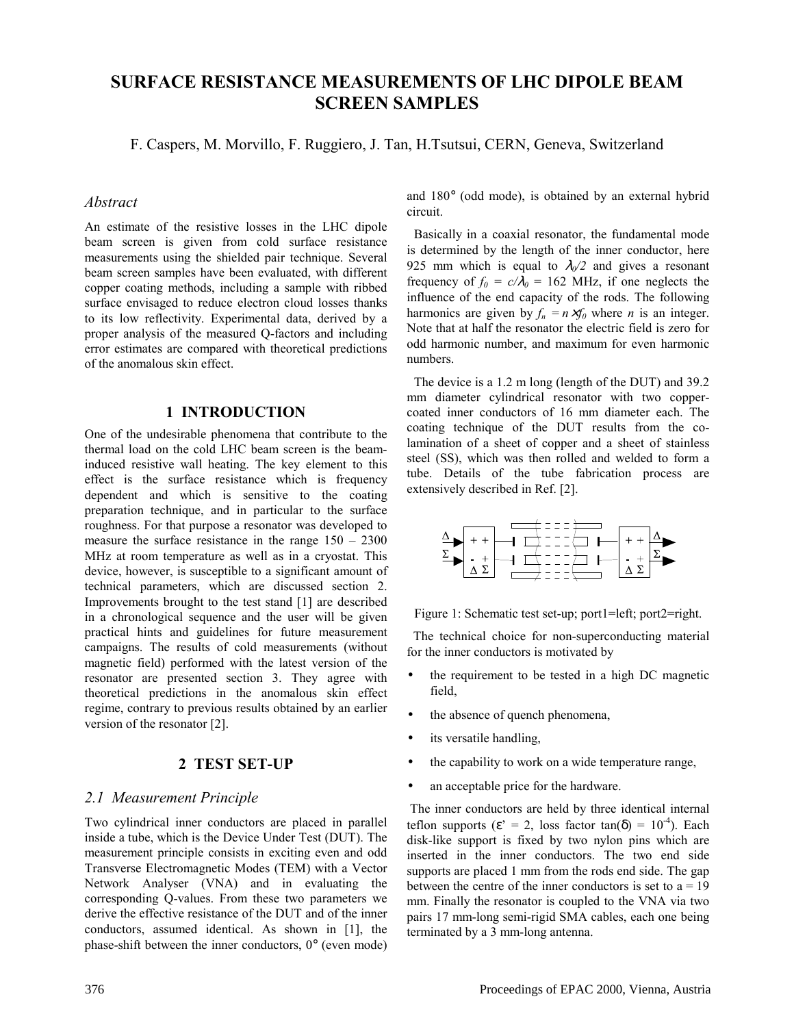# **SURFACE RESISTANCE MEASUREMENTS OF LHC DIPOLE BEAM SCREEN SAMPLES**

F. Caspers, M. Morvillo, F. Ruggiero, J. Tan, H.Tsutsui, CERN, Geneva, Switzerland

## *Abstract*

An estimate of the resistive losses in the LHC dipole beam screen is given from cold surface resistance measurements using the shielded pair technique. Several beam screen samples have been evaluated, with different copper coating methods, including a sample with ribbed surface envisaged to reduce electron cloud losses thanks to its low reflectivity. Experimental data, derived by a proper analysis of the measured Q-factors and including error estimates are compared with theoretical predictions of the anomalous skin effect.

# **1 INTRODUCTION**

One of the undesirable phenomena that contribute to the thermal load on the cold LHC beam screen is the beaminduced resistive wall heating. The key element to this effect is the surface resistance which is frequency dependent and which is sensitive to the coating preparation technique, and in particular to the surface roughness. For that purpose a resonator was developed to measure the surface resistance in the range  $150 - 2300$ MHz at room temperature as well as in a cryostat. This device, however, is susceptible to a significant amount of technical parameters, which are discussed section 2. Improvements brought to the test stand [1] are described in a chronological sequence and the user will be given practical hints and guidelines for future measurement campaigns. The results of cold measurements (without magnetic field) performed with the latest version of the resonator are presented section 3. They agree with theoretical predictions in the anomalous skin effect regime, contrary to previous results obtained by an earlier version of the resonator [2].

# **2 TEST SET-UP**

# *2.1 Measurement Principle*

Two cylindrical inner conductors are placed in parallel inside a tube, which is the Device Under Test (DUT). The measurement principle consists in exciting even and odd Transverse Electromagnetic Modes (TEM) with a Vector Network Analyser (VNA) and in evaluating the corresponding Q-values. From these two parameters we derive the effective resistance of the DUT and of the inner conductors, assumed identical. As shown in [1], the phase-shift between the inner conductors, 0° (even mode) and 180° (odd mode), is obtained by an external hybrid circuit.

 Basically in a coaxial resonator, the fundamental mode is determined by the length of the inner conductor, here 925 mm which is equal to  $\lambda_0/2$  and gives a resonant frequency of  $f_0 = c/\lambda_0 = 162$  MHz, if one neglects the influence of the end capacity of the rods. The following harmonics are given by  $f_n = n \times f_0$  where *n* is an integer. Note that at half the resonator the electric field is zero for odd harmonic number, and maximum for even harmonic numbers.

 The device is a 1.2 m long (length of the DUT) and 39.2 mm diameter cylindrical resonator with two coppercoated inner conductors of 16 mm diameter each. The coating technique of the DUT results from the colamination of a sheet of copper and a sheet of stainless steel (SS), which was then rolled and welded to form a tube. Details of the tube fabrication process are extensively described in Ref. [2].



Figure 1: Schematic test set-up; port1=left; port2=right.

 The technical choice for non-superconducting material for the inner conductors is motivated by

- the requirement to be tested in a high DC magnetic field,
- the absence of quench phenomena,
- its versatile handling,
- the capability to work on a wide temperature range,
- an acceptable price for the hardware.

 The inner conductors are held by three identical internal teflon supports ( $\varepsilon$ <sup>'</sup> = 2, loss factor tan( $\delta$ ) = 10<sup>-4</sup>). Each disk-like support is fixed by two nylon pins which are inserted in the inner conductors. The two end side supports are placed 1 mm from the rods end side. The gap between the centre of the inner conductors is set to  $a = 19$ mm. Finally the resonator is coupled to the VNA via two pairs 17 mm-long semi-rigid SMA cables, each one being terminated by a 3 mm-long antenna.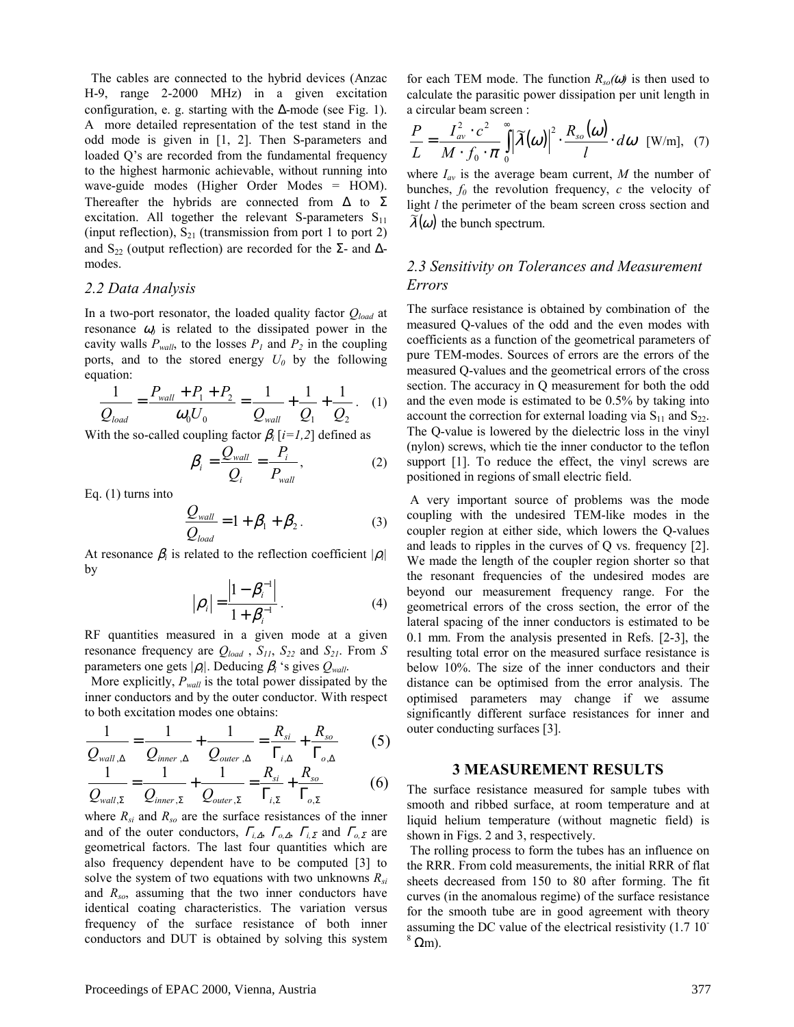The cables are connected to the hybrid devices (Anzac H-9, range 2-2000 MHz) in a given excitation configuration, e. g. starting with the  $\Delta$ -mode (see Fig. 1). A more detailed representation of the test stand in the odd mode is given in [1, 2]. Then S-parameters and loaded Q's are recorded from the fundamental frequency to the highest harmonic achievable, without running into wave-guide modes (Higher Order Modes = HOM). Thereafter the hybrids are connected from  $\Delta$  to  $\Sigma$ excitation. All together the relevant S-parameters  $S_{11}$ (input reflection),  $S_{21}$  (transmission from port 1 to port 2) and S<sub>22</sub> (output reflection) are recorded for the  $\Sigma$ - and  $\Delta$ modes.

#### *2.2 Data Analysis*

In a two-port resonator, the loaded quality factor *Qload* at resonance  $\omega_0$  is related to the dissipated power in the cavity walls  $P_{wall}$ , to the losses  $P_1$  and  $P_2$  in the coupling ports, and to the stored energy  $U_0$  by the following equation:

$$
\frac{1}{Q_{load}} = \frac{P_{wall} + P_1 + P_2}{\omega_0 U_0} = \frac{1}{Q_{wall}} + \frac{1}{Q_1} + \frac{1}{Q_2}.
$$
 (1)

With the so-called coupling factor  $\beta_i$  [*i*=*1,2*] defined as

$$
\beta_i = \frac{Q_{wall}}{Q_i} = \frac{P_i}{P_{wall}},
$$
\n(2)

Eq. (1) turns into

$$
\frac{Q_{wall}}{Q_{load}} = 1 + \beta_1 + \beta_2.
$$
 (3)

At resonance  $\beta_i$  is related to the reflection coefficient  $|\rho_i|$ by

$$
|\rho_i| = \frac{|1 - \beta_i^{-1}|}{1 + \beta_i^{-1}}.
$$
 (4)

RF quantities measured in a given mode at a given resonance frequency are  $Q_{load}$ ,  $S_{11}$ ,  $S_{22}$  and  $S_{21}$ . From *S* parameters one gets  $|\rho_i|$ . Deducing  $\beta_i$  's gives  $Q_{wall}$ .

 More explicitly, *Pwall* is the total power dissipated by the inner conductors and by the outer conductor. With respect to both excitation modes one obtains:

$$
\frac{1}{Q_{wall,\Delta}} = \frac{1}{Q_{inner,\Delta}} + \frac{1}{Q_{outer,\Delta}} = \frac{R_{si}}{\Gamma_{i,\Delta}} + \frac{R_{so}}{\Gamma_{o,\Delta}}
$$
(5)

$$
\frac{Q_{wall,\Delta}}{Q_{wall,\Sigma}} = \frac{Q_{inner,\Delta}}{Q_{inner,\Sigma}} + \frac{1}{Q_{outer,\Sigma}} = \frac{R_{si}}{\Gamma_{i,\Sigma}} + \frac{R_{so}}{\Gamma_{o,\Sigma}}
$$
(6)

where *Rsi* and *Rso* are the surface resistances of the inner and of the outer conductors, <sup>Γ</sup>*i,*∆, <sup>Γ</sup>*o,*∆, <sup>Γ</sup>*i,*Σ and <sup>Γ</sup>*o,*Σ are geometrical factors. The last four quantities which are also frequency dependent have to be computed [3] to solve the system of two equations with two unknowns  $R_{si}$ and *Rso*, assuming that the two inner conductors have identical coating characteristics. The variation versus frequency of the surface resistance of both inner conductors and DUT is obtained by solving this system for each TEM mode. The function  $R_{so}(\omega)$  is then used to calculate the parasitic power dissipation per unit length in a circular beam screen :

$$
\frac{P}{L} = \frac{I_{av}^2 \cdot c^2}{M \cdot f_0 \cdot \pi} \int_{0}^{\infty} |\widetilde{\lambda}(\omega)|^2 \cdot \frac{R_{so}(\omega)}{l} \cdot d\omega \quad \text{[W/m]}, \quad (7)
$$

where  $I_{av}$  is the average beam current, M the number of bunches,  $f_0$  the revolution frequency,  $c$  the velocity of light *l* the perimeter of the beam screen cross section and  $\lambda(\omega)$  the bunch spectrum.

# *2.3 Sensitivity on Tolerances and Measurement Errors*

The surface resistance is obtained by combination of the measured Q-values of the odd and the even modes with coefficients as a function of the geometrical parameters of pure TEM-modes. Sources of errors are the errors of the measured Q-values and the geometrical errors of the cross section. The accuracy in Q measurement for both the odd and the even mode is estimated to be 0.5% by taking into account the correction for external loading via  $S_{11}$  and  $S_{22}$ . The Q-value is lowered by the dielectric loss in the vinyl (nylon) screws, which tie the inner conductor to the teflon support [1]. To reduce the effect, the vinyl screws are positioned in regions of small electric field.

 A very important source of problems was the mode coupling with the undesired TEM-like modes in the coupler region at either side, which lowers the Q-values and leads to ripples in the curves of Q vs. frequency [2]. We made the length of the coupler region shorter so that the resonant frequencies of the undesired modes are beyond our measurement frequency range. For the geometrical errors of the cross section, the error of the lateral spacing of the inner conductors is estimated to be 0.1 mm. From the analysis presented in Refs. [2-3], the resulting total error on the measured surface resistance is below 10%. The size of the inner conductors and their distance can be optimised from the error analysis. The optimised parameters may change if we assume significantly different surface resistances for inner and outer conducting surfaces [3].

#### **3 MEASUREMENT RESULTS**

The surface resistance measured for sample tubes with smooth and ribbed surface, at room temperature and at liquid helium temperature (without magnetic field) is shown in Figs. 2 and 3, respectively.

 The rolling process to form the tubes has an influence on the RRR. From cold measurements, the initial RRR of flat sheets decreased from 150 to 80 after forming. The fit curves (in the anomalous regime) of the surface resistance for the smooth tube are in good agreement with theory assuming the DC value of the electrical resistivity (1.7 10-  $<sup>8</sup>$  Ωm).</sup>